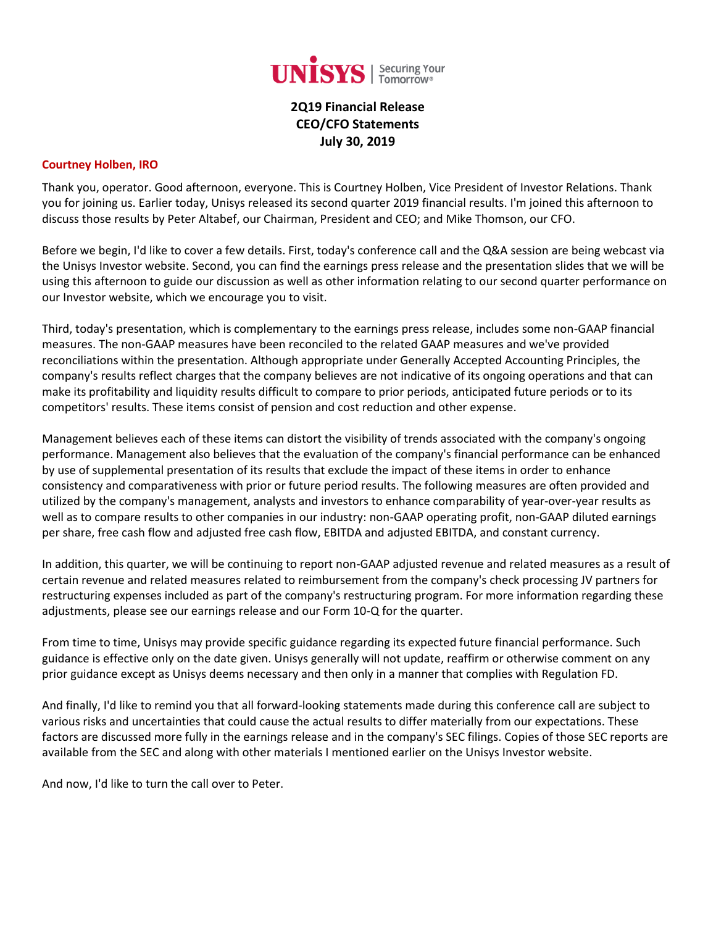

# **2Q19 Financial Release CEO/CFO Statements July 30, 2019**

#### **Courtney Holben, IRO**

Thank you, operator. Good afternoon, everyone. This is Courtney Holben, Vice President of Investor Relations. Thank you for joining us. Earlier today, Unisys released its second quarter 2019 financial results. I'm joined this afternoon to discuss those results by Peter Altabef, our Chairman, President and CEO; and Mike Thomson, our CFO.

Before we begin, I'd like to cover a few details. First, today's conference call and the Q&A session are being webcast via the Unisys Investor website. Second, you can find the earnings press release and the presentation slides that we will be using this afternoon to guide our discussion as well as other information relating to our second quarter performance on our Investor website, which we encourage you to visit.

Third, today's presentation, which is complementary to the earnings press release, includes some non-GAAP financial measures. The non-GAAP measures have been reconciled to the related GAAP measures and we've provided reconciliations within the presentation. Although appropriate under Generally Accepted Accounting Principles, the company's results reflect charges that the company believes are not indicative of its ongoing operations and that can make its profitability and liquidity results difficult to compare to prior periods, anticipated future periods or to its competitors' results. These items consist of pension and cost reduction and other expense.

Management believes each of these items can distort the visibility of trends associated with the company's ongoing performance. Management also believes that the evaluation of the company's financial performance can be enhanced by use of supplemental presentation of its results that exclude the impact of these items in order to enhance consistency and comparativeness with prior or future period results. The following measures are often provided and utilized by the company's management, analysts and investors to enhance comparability of year-over-year results as well as to compare results to other companies in our industry: non-GAAP operating profit, non-GAAP diluted earnings per share, free cash flow and adjusted free cash flow, EBITDA and adjusted EBITDA, and constant currency.

In addition, this quarter, we will be continuing to report non-GAAP adjusted revenue and related measures as a result of certain revenue and related measures related to reimbursement from the company's check processing JV partners for restructuring expenses included as part of the company's restructuring program. For more information regarding these adjustments, please see our earnings release and our Form 10-Q for the quarter.

From time to time, Unisys may provide specific guidance regarding its expected future financial performance. Such guidance is effective only on the date given. Unisys generally will not update, reaffirm or otherwise comment on any prior guidance except as Unisys deems necessary and then only in a manner that complies with Regulation FD.

And finally, I'd like to remind you that all forward-looking statements made during this conference call are subject to various risks and uncertainties that could cause the actual results to differ materially from our expectations. These factors are discussed more fully in the earnings release and in the company's SEC filings. Copies of those SEC reports are available from the SEC and along with other materials I mentioned earlier on the Unisys Investor website.

And now, I'd like to turn the call over to Peter.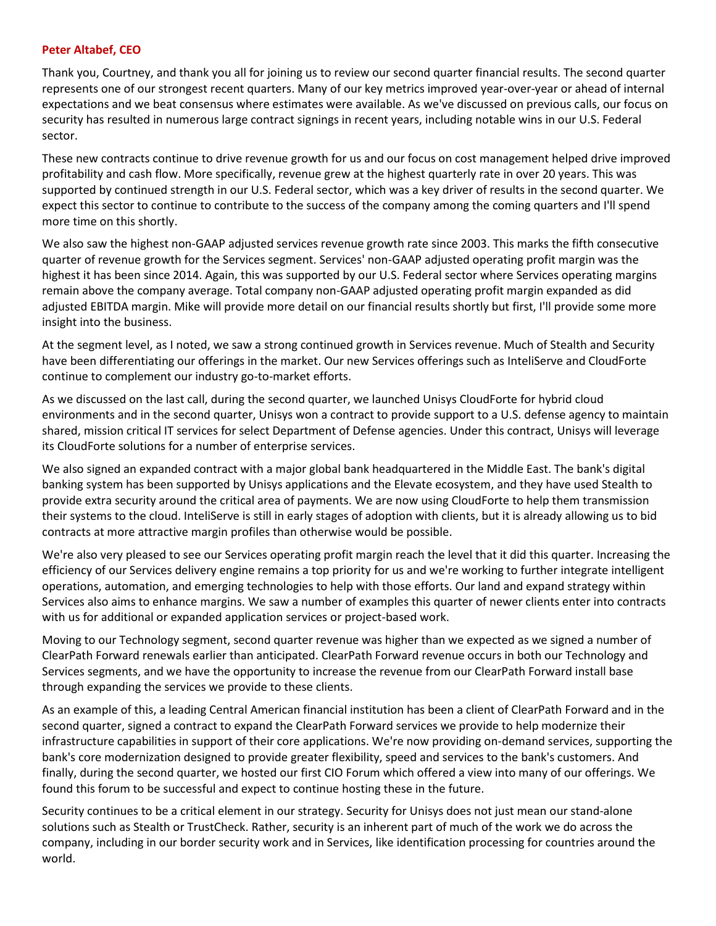#### **Peter Altabef, CEO**

Thank you, Courtney, and thank you all for joining us to review our second quarter financial results. The second quarter represents one of our strongest recent quarters. Many of our key metrics improved year-over-year or ahead of internal expectations and we beat consensus where estimates were available. As we've discussed on previous calls, our focus on security has resulted in numerous large contract signings in recent years, including notable wins in our U.S. Federal sector.

These new contracts continue to drive revenue growth for us and our focus on cost management helped drive improved profitability and cash flow. More specifically, revenue grew at the highest quarterly rate in over 20 years. This was supported by continued strength in our U.S. Federal sector, which was a key driver of results in the second quarter. We expect this sector to continue to contribute to the success of the company among the coming quarters and I'll spend more time on this shortly.

We also saw the highest non-GAAP adjusted services revenue growth rate since 2003. This marks the fifth consecutive quarter of revenue growth for the Services segment. Services' non-GAAP adjusted operating profit margin was the highest it has been since 2014. Again, this was supported by our U.S. Federal sector where Services operating margins remain above the company average. Total company non-GAAP adjusted operating profit margin expanded as did adjusted EBITDA margin. Mike will provide more detail on our financial results shortly but first, I'll provide some more insight into the business.

At the segment level, as I noted, we saw a strong continued growth in Services revenue. Much of Stealth and Security have been differentiating our offerings in the market. Our new Services offerings such as InteliServe and CloudForte continue to complement our industry go-to-market efforts.

As we discussed on the last call, during the second quarter, we launched Unisys CloudForte for hybrid cloud environments and in the second quarter, Unisys won a contract to provide support to a U.S. defense agency to maintain shared, mission critical IT services for select Department of Defense agencies. Under this contract, Unisys will leverage its CloudForte solutions for a number of enterprise services.

We also signed an expanded contract with a major global bank headquartered in the Middle East. The bank's digital banking system has been supported by Unisys applications and the Elevate ecosystem, and they have used Stealth to provide extra security around the critical area of payments. We are now using CloudForte to help them transmission their systems to the cloud. InteliServe is still in early stages of adoption with clients, but it is already allowing us to bid contracts at more attractive margin profiles than otherwise would be possible.

We're also very pleased to see our Services operating profit margin reach the level that it did this quarter. Increasing the efficiency of our Services delivery engine remains a top priority for us and we're working to further integrate intelligent operations, automation, and emerging technologies to help with those efforts. Our land and expand strategy within Services also aims to enhance margins. We saw a number of examples this quarter of newer clients enter into contracts with us for additional or expanded application services or project-based work.

Moving to our Technology segment, second quarter revenue was higher than we expected as we signed a number of ClearPath Forward renewals earlier than anticipated. ClearPath Forward revenue occurs in both our Technology and Services segments, and we have the opportunity to increase the revenue from our ClearPath Forward install base through expanding the services we provide to these clients.

As an example of this, a leading Central American financial institution has been a client of ClearPath Forward and in the second quarter, signed a contract to expand the ClearPath Forward services we provide to help modernize their infrastructure capabilities in support of their core applications. We're now providing on-demand services, supporting the bank's core modernization designed to provide greater flexibility, speed and services to the bank's customers. And finally, during the second quarter, we hosted our first CIO Forum which offered a view into many of our offerings. We found this forum to be successful and expect to continue hosting these in the future.

Security continues to be a critical element in our strategy. Security for Unisys does not just mean our stand-alone solutions such as Stealth or TrustCheck. Rather, security is an inherent part of much of the work we do across the company, including in our border security work and in Services, like identification processing for countries around the world.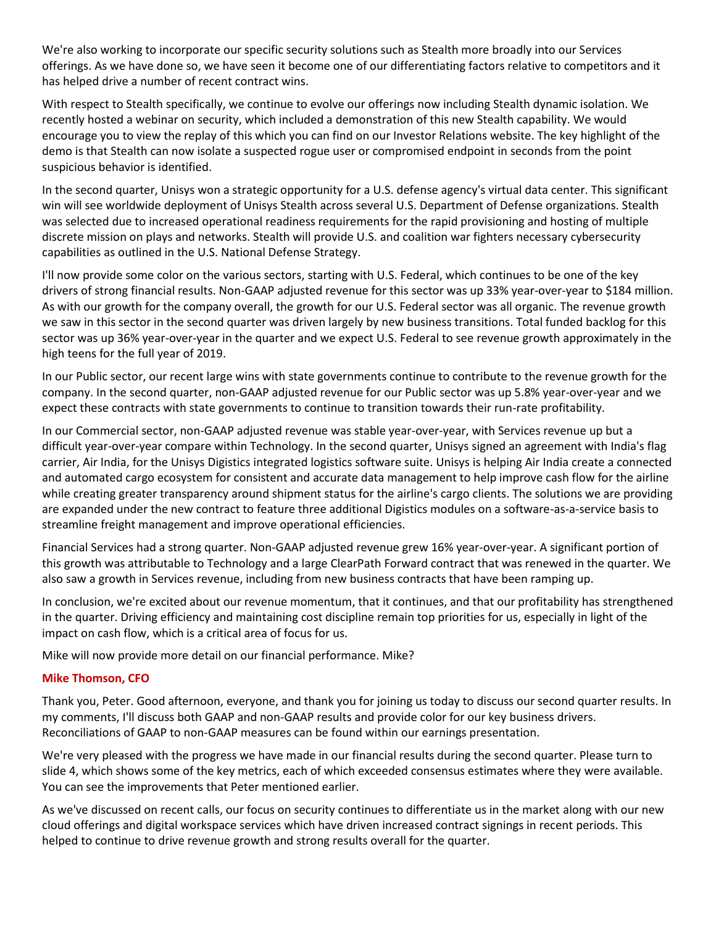We're also working to incorporate our specific security solutions such as Stealth more broadly into our Services offerings. As we have done so, we have seen it become one of our differentiating factors relative to competitors and it has helped drive a number of recent contract wins.

With respect to Stealth specifically, we continue to evolve our offerings now including Stealth dynamic isolation. We recently hosted a webinar on security, which included a demonstration of this new Stealth capability. We would encourage you to view the replay of this which you can find on our Investor Relations website. The key highlight of the demo is that Stealth can now isolate a suspected rogue user or compromised endpoint in seconds from the point suspicious behavior is identified.

In the second quarter, Unisys won a strategic opportunity for a U.S. defense agency's virtual data center. This significant win will see worldwide deployment of Unisys Stealth across several U.S. Department of Defense organizations. Stealth was selected due to increased operational readiness requirements for the rapid provisioning and hosting of multiple discrete mission on plays and networks. Stealth will provide U.S. and coalition war fighters necessary cybersecurity capabilities as outlined in the U.S. National Defense Strategy.

I'll now provide some color on the various sectors, starting with U.S. Federal, which continues to be one of the key drivers of strong financial results. Non-GAAP adjusted revenue for this sector was up 33% year-over-year to \$184 million. As with our growth for the company overall, the growth for our U.S. Federal sector was all organic. The revenue growth we saw in this sector in the second quarter was driven largely by new business transitions. Total funded backlog for this sector was up 36% year-over-year in the quarter and we expect U.S. Federal to see revenue growth approximately in the high teens for the full year of 2019.

In our Public sector, our recent large wins with state governments continue to contribute to the revenue growth for the company. In the second quarter, non-GAAP adjusted revenue for our Public sector was up 5.8% year-over-year and we expect these contracts with state governments to continue to transition towards their run-rate profitability.

In our Commercial sector, non-GAAP adjusted revenue was stable year-over-year, with Services revenue up but a difficult year-over-year compare within Technology. In the second quarter, Unisys signed an agreement with India's flag carrier, Air India, for the Unisys Digistics integrated logistics software suite. Unisys is helping Air India create a connected and automated cargo ecosystem for consistent and accurate data management to help improve cash flow for the airline while creating greater transparency around shipment status for the airline's cargo clients. The solutions we are providing are expanded under the new contract to feature three additional Digistics modules on a software-as-a-service basis to streamline freight management and improve operational efficiencies.

Financial Services had a strong quarter. Non-GAAP adjusted revenue grew 16% year-over-year. A significant portion of this growth was attributable to Technology and a large ClearPath Forward contract that was renewed in the quarter. We also saw a growth in Services revenue, including from new business contracts that have been ramping up.

In conclusion, we're excited about our revenue momentum, that it continues, and that our profitability has strengthened in the quarter. Driving efficiency and maintaining cost discipline remain top priorities for us, especially in light of the impact on cash flow, which is a critical area of focus for us.

Mike will now provide more detail on our financial performance. Mike?

## **Mike Thomson, CFO**

Thank you, Peter. Good afternoon, everyone, and thank you for joining us today to discuss our second quarter results. In my comments, I'll discuss both GAAP and non-GAAP results and provide color for our key business drivers. Reconciliations of GAAP to non-GAAP measures can be found within our earnings presentation.

We're very pleased with the progress we have made in our financial results during the second quarter. Please turn to slide 4, which shows some of the key metrics, each of which exceeded consensus estimates where they were available. You can see the improvements that Peter mentioned earlier.

As we've discussed on recent calls, our focus on security continues to differentiate us in the market along with our new cloud offerings and digital workspace services which have driven increased contract signings in recent periods. This helped to continue to drive revenue growth and strong results overall for the quarter.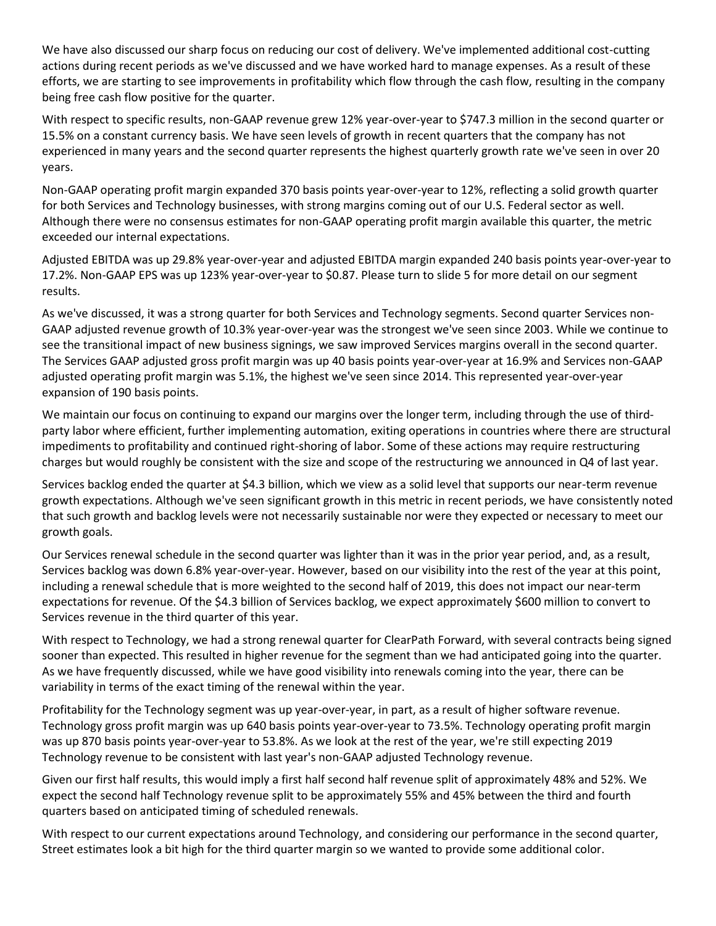We have also discussed our sharp focus on reducing our cost of delivery. We've implemented additional cost-cutting actions during recent periods as we've discussed and we have worked hard to manage expenses. As a result of these efforts, we are starting to see improvements in profitability which flow through the cash flow, resulting in the company being free cash flow positive for the quarter.

With respect to specific results, non-GAAP revenue grew 12% year-over-year to \$747.3 million in the second quarter or 15.5% on a constant currency basis. We have seen levels of growth in recent quarters that the company has not experienced in many years and the second quarter represents the highest quarterly growth rate we've seen in over 20 years.

Non-GAAP operating profit margin expanded 370 basis points year-over-year to 12%, reflecting a solid growth quarter for both Services and Technology businesses, with strong margins coming out of our U.S. Federal sector as well. Although there were no consensus estimates for non-GAAP operating profit margin available this quarter, the metric exceeded our internal expectations.

Adjusted EBITDA was up 29.8% year-over-year and adjusted EBITDA margin expanded 240 basis points year-over-year to 17.2%. Non-GAAP EPS was up 123% year-over-year to \$0.87. Please turn to slide 5 for more detail on our segment results.

As we've discussed, it was a strong quarter for both Services and Technology segments. Second quarter Services non-GAAP adjusted revenue growth of 10.3% year-over-year was the strongest we've seen since 2003. While we continue to see the transitional impact of new business signings, we saw improved Services margins overall in the second quarter. The Services GAAP adjusted gross profit margin was up 40 basis points year-over-year at 16.9% and Services non-GAAP adjusted operating profit margin was 5.1%, the highest we've seen since 2014. This represented year-over-year expansion of 190 basis points.

We maintain our focus on continuing to expand our margins over the longer term, including through the use of thirdparty labor where efficient, further implementing automation, exiting operations in countries where there are structural impediments to profitability and continued right-shoring of labor. Some of these actions may require restructuring charges but would roughly be consistent with the size and scope of the restructuring we announced in Q4 of last year.

Services backlog ended the quarter at \$4.3 billion, which we view as a solid level that supports our near-term revenue growth expectations. Although we've seen significant growth in this metric in recent periods, we have consistently noted that such growth and backlog levels were not necessarily sustainable nor were they expected or necessary to meet our growth goals.

Our Services renewal schedule in the second quarter was lighter than it was in the prior year period, and, as a result, Services backlog was down 6.8% year-over-year. However, based on our visibility into the rest of the year at this point, including a renewal schedule that is more weighted to the second half of 2019, this does not impact our near-term expectations for revenue. Of the \$4.3 billion of Services backlog, we expect approximately \$600 million to convert to Services revenue in the third quarter of this year.

With respect to Technology, we had a strong renewal quarter for ClearPath Forward, with several contracts being signed sooner than expected. This resulted in higher revenue for the segment than we had anticipated going into the quarter. As we have frequently discussed, while we have good visibility into renewals coming into the year, there can be variability in terms of the exact timing of the renewal within the year.

Profitability for the Technology segment was up year-over-year, in part, as a result of higher software revenue. Technology gross profit margin was up 640 basis points year-over-year to 73.5%. Technology operating profit margin was up 870 basis points year-over-year to 53.8%. As we look at the rest of the year, we're still expecting 2019 Technology revenue to be consistent with last year's non-GAAP adjusted Technology revenue.

Given our first half results, this would imply a first half second half revenue split of approximately 48% and 52%. We expect the second half Technology revenue split to be approximately 55% and 45% between the third and fourth quarters based on anticipated timing of scheduled renewals.

With respect to our current expectations around Technology, and considering our performance in the second quarter, Street estimates look a bit high for the third quarter margin so we wanted to provide some additional color.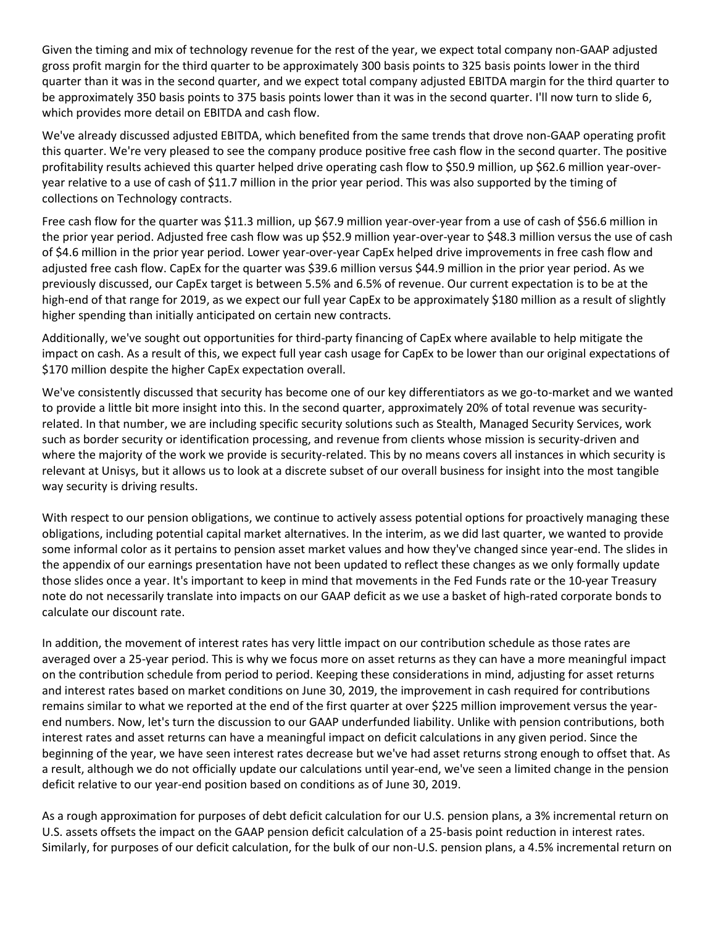Given the timing and mix of technology revenue for the rest of the year, we expect total company non-GAAP adjusted gross profit margin for the third quarter to be approximately 300 basis points to 325 basis points lower in the third quarter than it was in the second quarter, and we expect total company adjusted EBITDA margin for the third quarter to be approximately 350 basis points to 375 basis points lower than it was in the second quarter. I'll now turn to slide 6, which provides more detail on EBITDA and cash flow.

We've already discussed adjusted EBITDA, which benefited from the same trends that drove non-GAAP operating profit this quarter. We're very pleased to see the company produce positive free cash flow in the second quarter. The positive profitability results achieved this quarter helped drive operating cash flow to \$50.9 million, up \$62.6 million year-overyear relative to a use of cash of \$11.7 million in the prior year period. This was also supported by the timing of collections on Technology contracts.

Free cash flow for the quarter was \$11.3 million, up \$67.9 million year-over-year from a use of cash of \$56.6 million in the prior year period. Adjusted free cash flow was up \$52.9 million year-over-year to \$48.3 million versus the use of cash of \$4.6 million in the prior year period. Lower year-over-year CapEx helped drive improvements in free cash flow and adjusted free cash flow. CapEx for the quarter was \$39.6 million versus \$44.9 million in the prior year period. As we previously discussed, our CapEx target is between 5.5% and 6.5% of revenue. Our current expectation is to be at the high-end of that range for 2019, as we expect our full year CapEx to be approximately \$180 million as a result of slightly higher spending than initially anticipated on certain new contracts.

Additionally, we've sought out opportunities for third-party financing of CapEx where available to help mitigate the impact on cash. As a result of this, we expect full year cash usage for CapEx to be lower than our original expectations of \$170 million despite the higher CapEx expectation overall.

We've consistently discussed that security has become one of our key differentiators as we go-to-market and we wanted to provide a little bit more insight into this. In the second quarter, approximately 20% of total revenue was securityrelated. In that number, we are including specific security solutions such as Stealth, Managed Security Services, work such as border security or identification processing, and revenue from clients whose mission is security-driven and where the majority of the work we provide is security-related. This by no means covers all instances in which security is relevant at Unisys, but it allows us to look at a discrete subset of our overall business for insight into the most tangible way security is driving results.

With respect to our pension obligations, we continue to actively assess potential options for proactively managing these obligations, including potential capital market alternatives. In the interim, as we did last quarter, we wanted to provide some informal color as it pertains to pension asset market values and how they've changed since year-end. The slides in the appendix of our earnings presentation have not been updated to reflect these changes as we only formally update those slides once a year. It's important to keep in mind that movements in the Fed Funds rate or the 10-year Treasury note do not necessarily translate into impacts on our GAAP deficit as we use a basket of high-rated corporate bonds to calculate our discount rate.

In addition, the movement of interest rates has very little impact on our contribution schedule as those rates are averaged over a 25-year period. This is why we focus more on asset returns as they can have a more meaningful impact on the contribution schedule from period to period. Keeping these considerations in mind, adjusting for asset returns and interest rates based on market conditions on June 30, 2019, the improvement in cash required for contributions remains similar to what we reported at the end of the first quarter at over \$225 million improvement versus the yearend numbers. Now, let's turn the discussion to our GAAP underfunded liability. Unlike with pension contributions, both interest rates and asset returns can have a meaningful impact on deficit calculations in any given period. Since the beginning of the year, we have seen interest rates decrease but we've had asset returns strong enough to offset that. As a result, although we do not officially update our calculations until year-end, we've seen a limited change in the pension deficit relative to our year-end position based on conditions as of June 30, 2019.

As a rough approximation for purposes of debt deficit calculation for our U.S. pension plans, a 3% incremental return on U.S. assets offsets the impact on the GAAP pension deficit calculation of a 25-basis point reduction in interest rates. Similarly, for purposes of our deficit calculation, for the bulk of our non-U.S. pension plans, a 4.5% incremental return on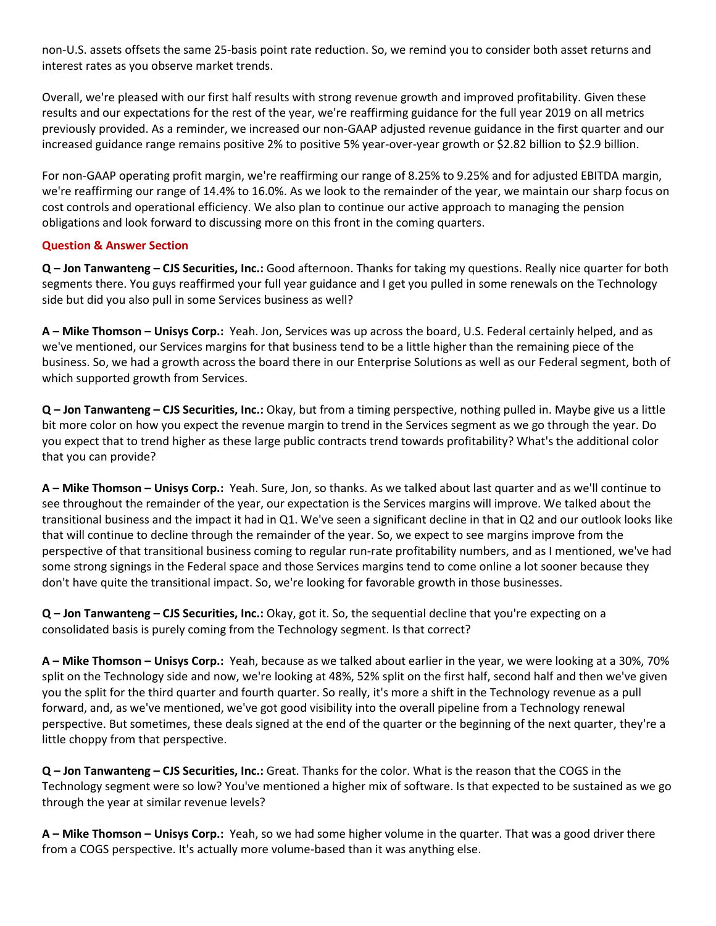non-U.S. assets offsets the same 25-basis point rate reduction. So, we remind you to consider both asset returns and interest rates as you observe market trends.

Overall, we're pleased with our first half results with strong revenue growth and improved profitability. Given these results and our expectations for the rest of the year, we're reaffirming guidance for the full year 2019 on all metrics previously provided. As a reminder, we increased our non-GAAP adjusted revenue guidance in the first quarter and our increased guidance range remains positive 2% to positive 5% year-over-year growth or \$2.82 billion to \$2.9 billion.

For non-GAAP operating profit margin, we're reaffirming our range of 8.25% to 9.25% and for adjusted EBITDA margin, we're reaffirming our range of 14.4% to 16.0%. As we look to the remainder of the year, we maintain our sharp focus on cost controls and operational efficiency. We also plan to continue our active approach to managing the pension obligations and look forward to discussing more on this front in the coming quarters.

## **Question & Answer Section**

**Q – Jon Tanwanteng – CJS Securities, Inc.:** Good afternoon. Thanks for taking my questions. Really nice quarter for both segments there. You guys reaffirmed your full year guidance and I get you pulled in some renewals on the Technology side but did you also pull in some Services business as well?

**A – Mike Thomson – Unisys Corp.:** Yeah. Jon, Services was up across the board, U.S. Federal certainly helped, and as we've mentioned, our Services margins for that business tend to be a little higher than the remaining piece of the business. So, we had a growth across the board there in our Enterprise Solutions as well as our Federal segment, both of which supported growth from Services.

**Q – Jon Tanwanteng – CJS Securities, Inc.:** Okay, but from a timing perspective, nothing pulled in. Maybe give us a little bit more color on how you expect the revenue margin to trend in the Services segment as we go through the year. Do you expect that to trend higher as these large public contracts trend towards profitability? What's the additional color that you can provide?

**A – Mike Thomson – Unisys Corp.:** Yeah. Sure, Jon, so thanks. As we talked about last quarter and as we'll continue to see throughout the remainder of the year, our expectation is the Services margins will improve. We talked about the transitional business and the impact it had in Q1. We've seen a significant decline in that in Q2 and our outlook looks like that will continue to decline through the remainder of the year. So, we expect to see margins improve from the perspective of that transitional business coming to regular run-rate profitability numbers, and as I mentioned, we've had some strong signings in the Federal space and those Services margins tend to come online a lot sooner because they don't have quite the transitional impact. So, we're looking for favorable growth in those businesses.

**Q – Jon Tanwanteng – CJS Securities, Inc.:** Okay, got it. So, the sequential decline that you're expecting on a consolidated basis is purely coming from the Technology segment. Is that correct?

**A – Mike Thomson – Unisys Corp.:** Yeah, because as we talked about earlier in the year, we were looking at a 30%, 70% split on the Technology side and now, we're looking at 48%, 52% split on the first half, second half and then we've given you the split for the third quarter and fourth quarter. So really, it's more a shift in the Technology revenue as a pull forward, and, as we've mentioned, we've got good visibility into the overall pipeline from a Technology renewal perspective. But sometimes, these deals signed at the end of the quarter or the beginning of the next quarter, they're a little choppy from that perspective.

**Q – Jon Tanwanteng – CJS Securities, Inc.:** Great. Thanks for the color. What is the reason that the COGS in the Technology segment were so low? You've mentioned a higher mix of software. Is that expected to be sustained as we go through the year at similar revenue levels?

**A – Mike Thomson – Unisys Corp.:** Yeah, so we had some higher volume in the quarter. That was a good driver there from a COGS perspective. It's actually more volume-based than it was anything else.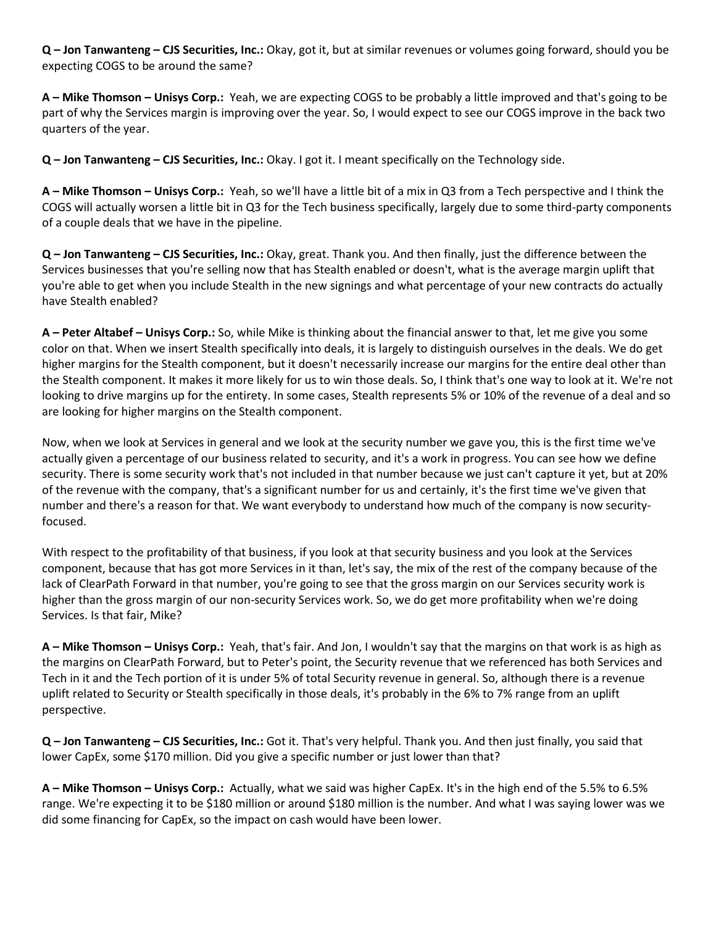**Q – Jon Tanwanteng – CJS Securities, Inc.:** Okay, got it, but at similar revenues or volumes going forward, should you be expecting COGS to be around the same?

**A – Mike Thomson – Unisys Corp.:** Yeah, we are expecting COGS to be probably a little improved and that's going to be part of why the Services margin is improving over the year. So, I would expect to see our COGS improve in the back two quarters of the year.

**Q – Jon Tanwanteng – CJS Securities, Inc.:** Okay. I got it. I meant specifically on the Technology side.

**A – Mike Thomson – Unisys Corp.:** Yeah, so we'll have a little bit of a mix in Q3 from a Tech perspective and I think the COGS will actually worsen a little bit in Q3 for the Tech business specifically, largely due to some third-party components of a couple deals that we have in the pipeline.

**Q – Jon Tanwanteng – CJS Securities, Inc.:** Okay, great. Thank you. And then finally, just the difference between the Services businesses that you're selling now that has Stealth enabled or doesn't, what is the average margin uplift that you're able to get when you include Stealth in the new signings and what percentage of your new contracts do actually have Stealth enabled?

**A – Peter Altabef – Unisys Corp.:** So, while Mike is thinking about the financial answer to that, let me give you some color on that. When we insert Stealth specifically into deals, it is largely to distinguish ourselves in the deals. We do get higher margins for the Stealth component, but it doesn't necessarily increase our margins for the entire deal other than the Stealth component. It makes it more likely for us to win those deals. So, I think that's one way to look at it. We're not looking to drive margins up for the entirety. In some cases, Stealth represents 5% or 10% of the revenue of a deal and so are looking for higher margins on the Stealth component.

Now, when we look at Services in general and we look at the security number we gave you, this is the first time we've actually given a percentage of our business related to security, and it's a work in progress. You can see how we define security. There is some security work that's not included in that number because we just can't capture it yet, but at 20% of the revenue with the company, that's a significant number for us and certainly, it's the first time we've given that number and there's a reason for that. We want everybody to understand how much of the company is now securityfocused.

With respect to the profitability of that business, if you look at that security business and you look at the Services component, because that has got more Services in it than, let's say, the mix of the rest of the company because of the lack of ClearPath Forward in that number, you're going to see that the gross margin on our Services security work is higher than the gross margin of our non-security Services work. So, we do get more profitability when we're doing Services. Is that fair, Mike?

**A – Mike Thomson – Unisys Corp.:** Yeah, that's fair. And Jon, I wouldn't say that the margins on that work is as high as the margins on ClearPath Forward, but to Peter's point, the Security revenue that we referenced has both Services and Tech in it and the Tech portion of it is under 5% of total Security revenue in general. So, although there is a revenue uplift related to Security or Stealth specifically in those deals, it's probably in the 6% to 7% range from an uplift perspective.

**Q – Jon Tanwanteng – CJS Securities, Inc.:** Got it. That's very helpful. Thank you. And then just finally, you said that lower CapEx, some \$170 million. Did you give a specific number or just lower than that?

**A – Mike Thomson – Unisys Corp.:** Actually, what we said was higher CapEx. It's in the high end of the 5.5% to 6.5% range. We're expecting it to be \$180 million or around \$180 million is the number. And what I was saying lower was we did some financing for CapEx, so the impact on cash would have been lower.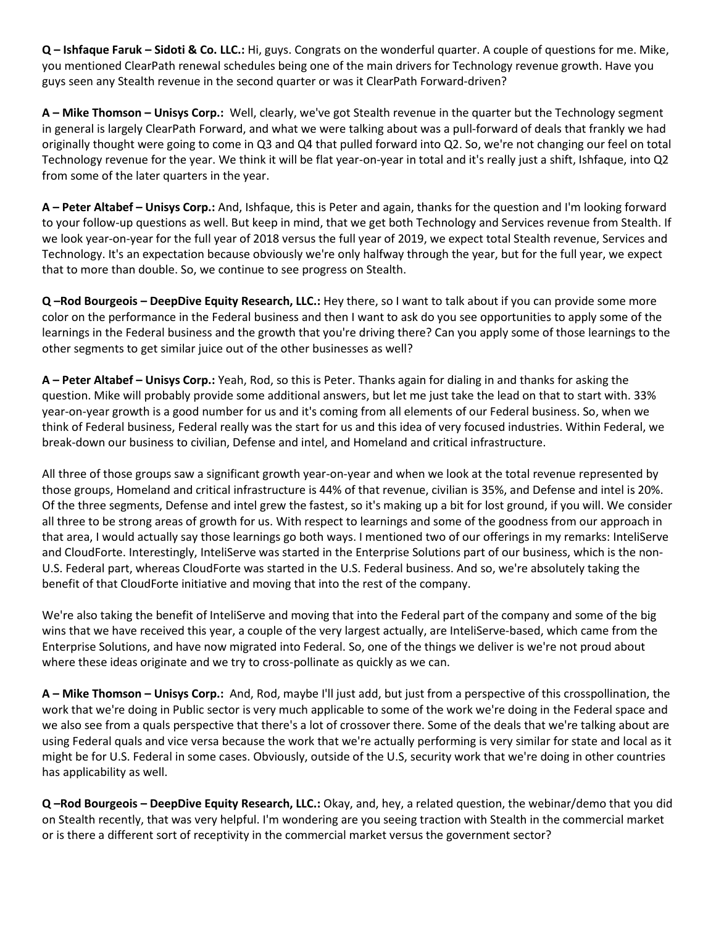**Q – Ishfaque Faruk – Sidoti & Co. LLC.:** Hi, guys. Congrats on the wonderful quarter. A couple of questions for me. Mike, you mentioned ClearPath renewal schedules being one of the main drivers for Technology revenue growth. Have you guys seen any Stealth revenue in the second quarter or was it ClearPath Forward-driven?

**A – Mike Thomson – Unisys Corp.:** Well, clearly, we've got Stealth revenue in the quarter but the Technology segment in general is largely ClearPath Forward, and what we were talking about was a pull-forward of deals that frankly we had originally thought were going to come in Q3 and Q4 that pulled forward into Q2. So, we're not changing our feel on total Technology revenue for the year. We think it will be flat year-on-year in total and it's really just a shift, Ishfaque, into Q2 from some of the later quarters in the year.

**A – Peter Altabef – Unisys Corp.:** And, Ishfaque, this is Peter and again, thanks for the question and I'm looking forward to your follow-up questions as well. But keep in mind, that we get both Technology and Services revenue from Stealth. If we look year-on-year for the full year of 2018 versus the full year of 2019, we expect total Stealth revenue, Services and Technology. It's an expectation because obviously we're only halfway through the year, but for the full year, we expect that to more than double. So, we continue to see progress on Stealth.

**Q –Rod Bourgeois – DeepDive Equity Research, LLC.:** Hey there, so I want to talk about if you can provide some more color on the performance in the Federal business and then I want to ask do you see opportunities to apply some of the learnings in the Federal business and the growth that you're driving there? Can you apply some of those learnings to the other segments to get similar juice out of the other businesses as well?

**A – Peter Altabef – Unisys Corp.:** Yeah, Rod, so this is Peter. Thanks again for dialing in and thanks for asking the question. Mike will probably provide some additional answers, but let me just take the lead on that to start with. 33% year-on-year growth is a good number for us and it's coming from all elements of our Federal business. So, when we think of Federal business, Federal really was the start for us and this idea of very focused industries. Within Federal, we break-down our business to civilian, Defense and intel, and Homeland and critical infrastructure.

All three of those groups saw a significant growth year-on-year and when we look at the total revenue represented by those groups, Homeland and critical infrastructure is 44% of that revenue, civilian is 35%, and Defense and intel is 20%. Of the three segments, Defense and intel grew the fastest, so it's making up a bit for lost ground, if you will. We consider all three to be strong areas of growth for us. With respect to learnings and some of the goodness from our approach in that area, I would actually say those learnings go both ways. I mentioned two of our offerings in my remarks: InteliServe and CloudForte. Interestingly, InteliServe was started in the Enterprise Solutions part of our business, which is the non-U.S. Federal part, whereas CloudForte was started in the U.S. Federal business. And so, we're absolutely taking the benefit of that CloudForte initiative and moving that into the rest of the company.

We're also taking the benefit of InteliServe and moving that into the Federal part of the company and some of the big wins that we have received this year, a couple of the very largest actually, are InteliServe-based, which came from the Enterprise Solutions, and have now migrated into Federal. So, one of the things we deliver is we're not proud about where these ideas originate and we try to cross-pollinate as quickly as we can.

**A – Mike Thomson – Unisys Corp.:** And, Rod, maybe I'll just add, but just from a perspective of this crosspollination, the work that we're doing in Public sector is very much applicable to some of the work we're doing in the Federal space and we also see from a quals perspective that there's a lot of crossover there. Some of the deals that we're talking about are using Federal quals and vice versa because the work that we're actually performing is very similar for state and local as it might be for U.S. Federal in some cases. Obviously, outside of the U.S, security work that we're doing in other countries has applicability as well.

**Q –Rod Bourgeois – DeepDive Equity Research, LLC.:** Okay, and, hey, a related question, the webinar/demo that you did on Stealth recently, that was very helpful. I'm wondering are you seeing traction with Stealth in the commercial market or is there a different sort of receptivity in the commercial market versus the government sector?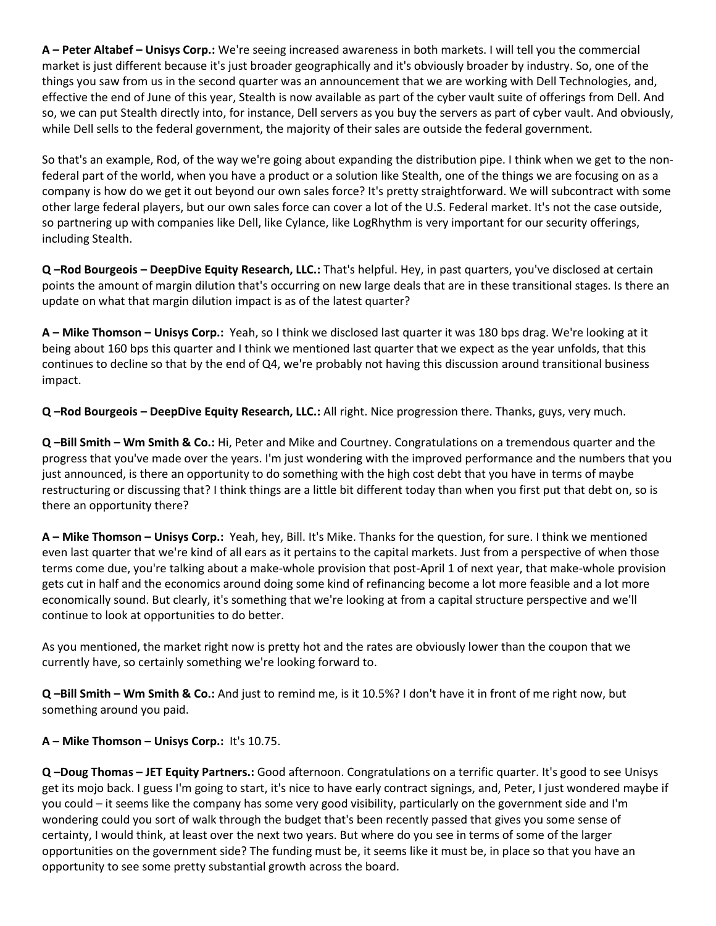**A – Peter Altabef – Unisys Corp.:** We're seeing increased awareness in both markets. I will tell you the commercial market is just different because it's just broader geographically and it's obviously broader by industry. So, one of the things you saw from us in the second quarter was an announcement that we are working with Dell Technologies, and, effective the end of June of this year, Stealth is now available as part of the cyber vault suite of offerings from Dell. And so, we can put Stealth directly into, for instance, Dell servers as you buy the servers as part of cyber vault. And obviously, while Dell sells to the federal government, the majority of their sales are outside the federal government.

So that's an example, Rod, of the way we're going about expanding the distribution pipe. I think when we get to the nonfederal part of the world, when you have a product or a solution like Stealth, one of the things we are focusing on as a company is how do we get it out beyond our own sales force? It's pretty straightforward. We will subcontract with some other large federal players, but our own sales force can cover a lot of the U.S. Federal market. It's not the case outside, so partnering up with companies like Dell, like Cylance, like LogRhythm is very important for our security offerings, including Stealth.

**Q –Rod Bourgeois – DeepDive Equity Research, LLC.:** That's helpful. Hey, in past quarters, you've disclosed at certain points the amount of margin dilution that's occurring on new large deals that are in these transitional stages. Is there an update on what that margin dilution impact is as of the latest quarter?

**A – Mike Thomson – Unisys Corp.:** Yeah, so I think we disclosed last quarter it was 180 bps drag. We're looking at it being about 160 bps this quarter and I think we mentioned last quarter that we expect as the year unfolds, that this continues to decline so that by the end of Q4, we're probably not having this discussion around transitional business impact.

**Q –Rod Bourgeois – DeepDive Equity Research, LLC.:** All right. Nice progression there. Thanks, guys, very much.

**Q –Bill Smith – Wm Smith & Co.:** Hi, Peter and Mike and Courtney. Congratulations on a tremendous quarter and the progress that you've made over the years. I'm just wondering with the improved performance and the numbers that you just announced, is there an opportunity to do something with the high cost debt that you have in terms of maybe restructuring or discussing that? I think things are a little bit different today than when you first put that debt on, so is there an opportunity there?

**A – Mike Thomson – Unisys Corp.:** Yeah, hey, Bill. It's Mike. Thanks for the question, for sure. I think we mentioned even last quarter that we're kind of all ears as it pertains to the capital markets. Just from a perspective of when those terms come due, you're talking about a make-whole provision that post-April 1 of next year, that make-whole provision gets cut in half and the economics around doing some kind of refinancing become a lot more feasible and a lot more economically sound. But clearly, it's something that we're looking at from a capital structure perspective and we'll continue to look at opportunities to do better.

As you mentioned, the market right now is pretty hot and the rates are obviously lower than the coupon that we currently have, so certainly something we're looking forward to.

**Q –Bill Smith – Wm Smith & Co.:** And just to remind me, is it 10.5%? I don't have it in front of me right now, but something around you paid.

# **A – Mike Thomson – Unisys Corp.:** It's 10.75.

**Q –Doug Thomas – JET Equity Partners.:** Good afternoon. Congratulations on a terrific quarter. It's good to see Unisys get its mojo back. I guess I'm going to start, it's nice to have early contract signings, and, Peter, I just wondered maybe if you could – it seems like the company has some very good visibility, particularly on the government side and I'm wondering could you sort of walk through the budget that's been recently passed that gives you some sense of certainty, I would think, at least over the next two years. But where do you see in terms of some of the larger opportunities on the government side? The funding must be, it seems like it must be, in place so that you have an opportunity to see some pretty substantial growth across the board.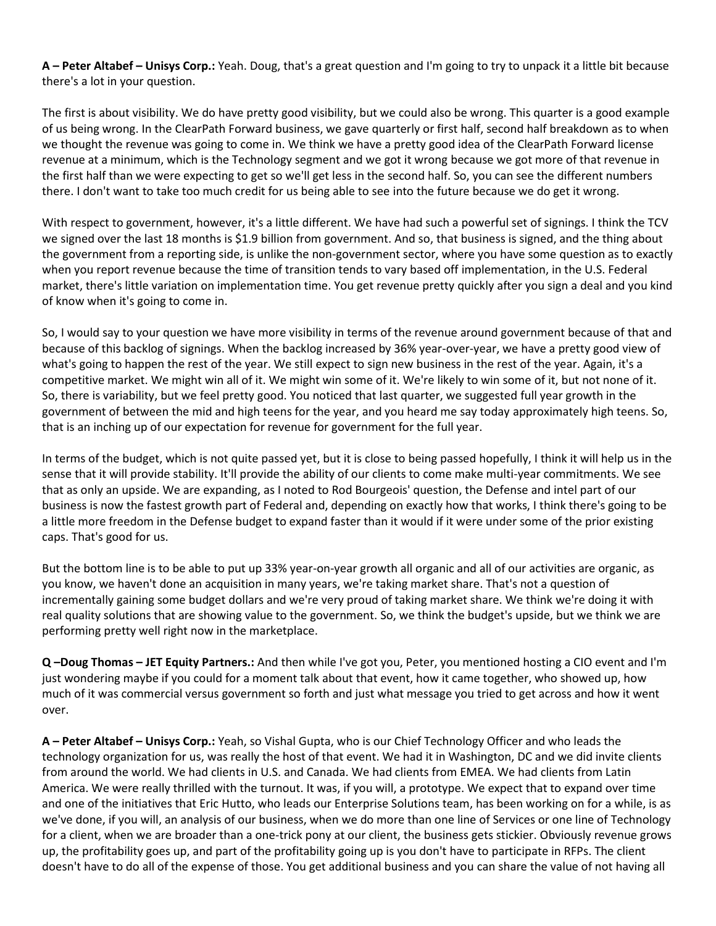**A – Peter Altabef – Unisys Corp.:** Yeah. Doug, that's a great question and I'm going to try to unpack it a little bit because there's a lot in your question.

The first is about visibility. We do have pretty good visibility, but we could also be wrong. This quarter is a good example of us being wrong. In the ClearPath Forward business, we gave quarterly or first half, second half breakdown as to when we thought the revenue was going to come in. We think we have a pretty good idea of the ClearPath Forward license revenue at a minimum, which is the Technology segment and we got it wrong because we got more of that revenue in the first half than we were expecting to get so we'll get less in the second half. So, you can see the different numbers there. I don't want to take too much credit for us being able to see into the future because we do get it wrong.

With respect to government, however, it's a little different. We have had such a powerful set of signings. I think the TCV we signed over the last 18 months is \$1.9 billion from government. And so, that business is signed, and the thing about the government from a reporting side, is unlike the non-government sector, where you have some question as to exactly when you report revenue because the time of transition tends to vary based off implementation, in the U.S. Federal market, there's little variation on implementation time. You get revenue pretty quickly after you sign a deal and you kind of know when it's going to come in.

So, I would say to your question we have more visibility in terms of the revenue around government because of that and because of this backlog of signings. When the backlog increased by 36% year-over-year, we have a pretty good view of what's going to happen the rest of the year. We still expect to sign new business in the rest of the year. Again, it's a competitive market. We might win all of it. We might win some of it. We're likely to win some of it, but not none of it. So, there is variability, but we feel pretty good. You noticed that last quarter, we suggested full year growth in the government of between the mid and high teens for the year, and you heard me say today approximately high teens. So, that is an inching up of our expectation for revenue for government for the full year.

In terms of the budget, which is not quite passed yet, but it is close to being passed hopefully, I think it will help us in the sense that it will provide stability. It'll provide the ability of our clients to come make multi-year commitments. We see that as only an upside. We are expanding, as I noted to Rod Bourgeois' question, the Defense and intel part of our business is now the fastest growth part of Federal and, depending on exactly how that works, I think there's going to be a little more freedom in the Defense budget to expand faster than it would if it were under some of the prior existing caps. That's good for us.

But the bottom line is to be able to put up 33% year-on-year growth all organic and all of our activities are organic, as you know, we haven't done an acquisition in many years, we're taking market share. That's not a question of incrementally gaining some budget dollars and we're very proud of taking market share. We think we're doing it with real quality solutions that are showing value to the government. So, we think the budget's upside, but we think we are performing pretty well right now in the marketplace.

**Q –Doug Thomas – JET Equity Partners.:** And then while I've got you, Peter, you mentioned hosting a CIO event and I'm just wondering maybe if you could for a moment talk about that event, how it came together, who showed up, how much of it was commercial versus government so forth and just what message you tried to get across and how it went over.

**A – Peter Altabef – Unisys Corp.:** Yeah, so Vishal Gupta, who is our Chief Technology Officer and who leads the technology organization for us, was really the host of that event. We had it in Washington, DC and we did invite clients from around the world. We had clients in U.S. and Canada. We had clients from EMEA. We had clients from Latin America. We were really thrilled with the turnout. It was, if you will, a prototype. We expect that to expand over time and one of the initiatives that Eric Hutto, who leads our Enterprise Solutions team, has been working on for a while, is as we've done, if you will, an analysis of our business, when we do more than one line of Services or one line of Technology for a client, when we are broader than a one-trick pony at our client, the business gets stickier. Obviously revenue grows up, the profitability goes up, and part of the profitability going up is you don't have to participate in RFPs. The client doesn't have to do all of the expense of those. You get additional business and you can share the value of not having all